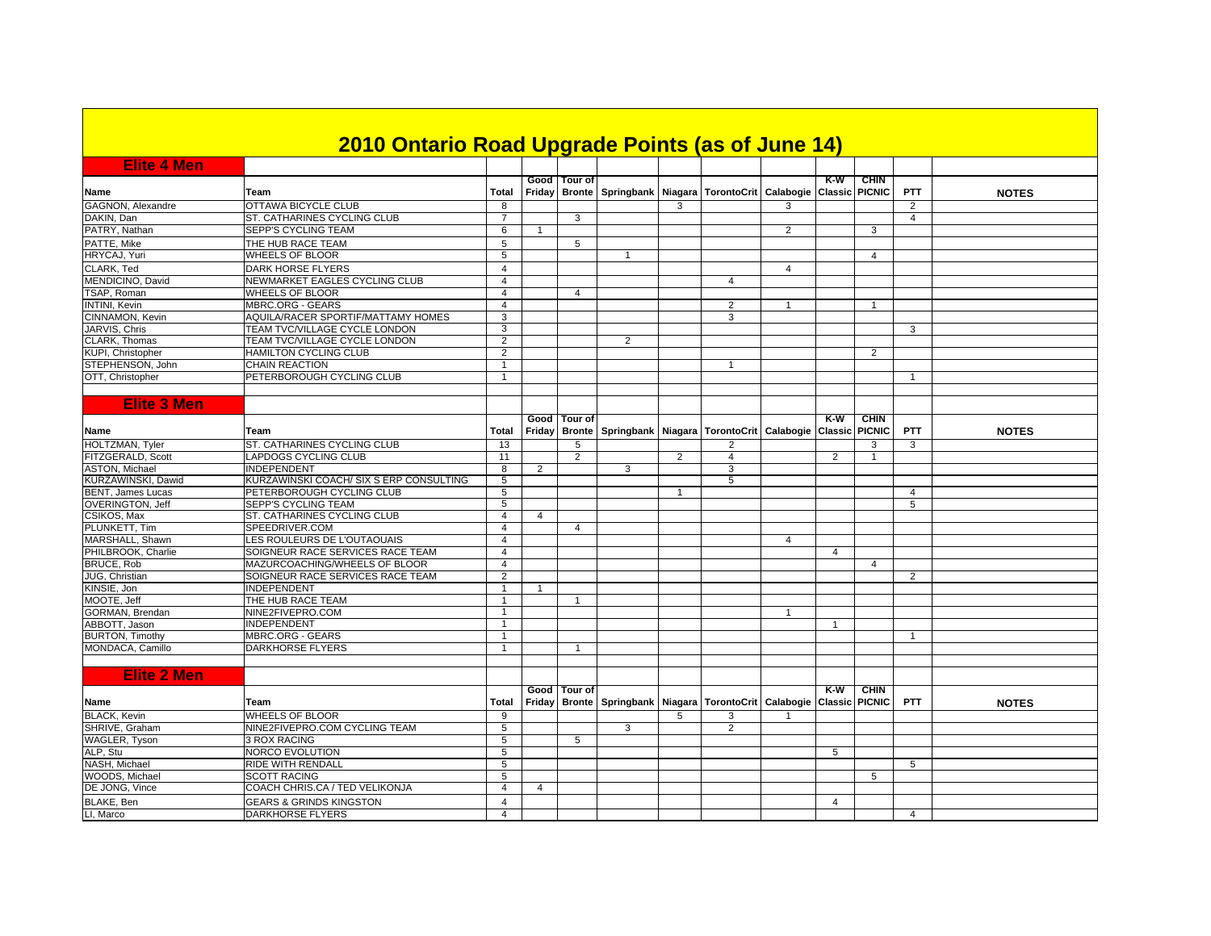|                          | 2010 Ontario Road Upgrade Points (as of June 14) |                |                |                                 |                                                                |   |                |                |                         |                              |                |              |
|--------------------------|--------------------------------------------------|----------------|----------------|---------------------------------|----------------------------------------------------------------|---|----------------|----------------|-------------------------|------------------------------|----------------|--------------|
| <b>Elite 4 Men</b>       |                                                  |                |                |                                 |                                                                |   |                |                |                         |                              |                |              |
| Name                     | Team                                             | Total          | Friday         | Good Tour of                    | Bronte Springbank Niagara TorontoCrit Calabogie Classic PICNIC |   |                |                | $K-W$                   | <b>CHIN</b>                  | <b>PTT</b>     | <b>NOTES</b> |
| GAGNON, Alexandre        | <b>OTTAWA BICYCLE CLUB</b>                       | 8              |                |                                 |                                                                | 3 |                | 3              |                         |                              | 2              |              |
| DAKIN, Dan               | ST. CATHARINES CYCLING CLUB                      | $\overline{7}$ |                | 3                               |                                                                |   |                |                |                         |                              | $\overline{4}$ |              |
| PATRY, Nathan            | SEPP'S CYCLING TEAM                              | 6              | $\overline{1}$ |                                 |                                                                |   |                | $\overline{2}$ |                         | 3                            |                |              |
| PATTE, Mike              | THE HUB RACE TEAM                                | 5              |                | 5                               |                                                                |   |                |                |                         |                              |                |              |
| HRYCAJ, Yuri             | <b>WHEELS OF BLOOR</b>                           | 5              |                |                                 | 1                                                              |   |                |                |                         | $\overline{4}$               |                |              |
| CLARK, Ted               | <b>DARK HORSE FLYERS</b>                         | $\overline{4}$ |                |                                 |                                                                |   |                | $\overline{4}$ |                         |                              |                |              |
| MENDICINO, David         | NEWMARKET EAGLES CYCLING CLUB                    | $\overline{4}$ |                |                                 |                                                                |   | $\overline{4}$ |                |                         |                              |                |              |
| TSAP, Roman              | <b>WHEELS OF BLOOR</b>                           | $\overline{4}$ |                | 4                               |                                                                |   |                |                |                         |                              |                |              |
| <b>INTINI, Kevin</b>     | MBRC.ORG - GEARS                                 | $\overline{4}$ |                |                                 |                                                                |   | $\overline{2}$ | $\mathbf{1}$   |                         | $\mathbf{1}$                 |                |              |
| CINNAMON, Kevin          | AQUILA/RACER SPORTIF/MATTAMY HOMES               | 3              |                |                                 |                                                                |   | 3              |                |                         |                              |                |              |
| JARVIS, Chris            | TEAM TVC/VILLAGE CYCLE LONDON                    | 3              |                |                                 |                                                                |   |                |                |                         |                              | 3              |              |
| CLARK, Thomas            | TEAM TVC/VILLAGE CYCLE LONDON                    | $\overline{2}$ |                |                                 | $\overline{2}$                                                 |   |                |                |                         |                              |                |              |
| KUPI. Christopher        | <b>HAMILTON CYCLING CLUB</b>                     | $\overline{2}$ |                |                                 |                                                                |   |                |                |                         | 2                            |                |              |
| STEPHENSON, John         | <b>CHAIN REACTION</b>                            | $\mathbf{1}$   |                |                                 |                                                                |   | $\overline{1}$ |                |                         |                              |                |              |
| OTT, Christopher         | PETERBOROUGH CYCLING CLUB                        | $\overline{1}$ |                |                                 |                                                                |   |                |                |                         |                              | $\mathbf{1}$   |              |
|                          |                                                  |                |                |                                 |                                                                |   |                |                |                         |                              |                |              |
|                          |                                                  |                |                |                                 |                                                                |   |                |                |                         |                              |                |              |
| <b>Elite 3 Men</b>       |                                                  |                |                |                                 |                                                                |   |                |                |                         |                              |                |              |
|                          |                                                  |                |                | Good   Tour of                  |                                                                |   |                |                | $K-W$                   | <b>CHIN</b>                  |                |              |
| Name                     | Team                                             | Total          | Friday         |                                 | Bronte   Springbank   Niagara   TorontoCrit   Calabogie        |   |                |                | Classic                 | <b>PICNIC</b>                | PTT            | <b>NOTES</b> |
| HOLTZMAN, Tyler          | ST. CATHARINES CYCLING CLUB                      | 13             |                | 5                               |                                                                |   | 2              |                |                         | 3                            | 3              |              |
| FITZGERALD, Scott        | LAPDOGS CYCLING CLUB                             | 11             |                | 2                               |                                                                | 2 | $\overline{4}$ |                | 2                       | -1                           |                |              |
| <b>ASTON, Michael</b>    | <b>INDEPENDENT</b>                               | 8              | $\overline{2}$ |                                 | 3                                                              |   | 3              |                |                         |                              |                |              |
| KURZAWINSKI, Dawid       | KURZAWINSKI COACH/ SIX S ERP CONSULTING          | 5              |                |                                 |                                                                |   | 5              |                |                         |                              |                |              |
| <b>BENT, James Lucas</b> | PETERBOROUGH CYCLING CLUB                        | 5              |                |                                 |                                                                |   |                |                |                         |                              | $\overline{4}$ |              |
| <b>OVERINGTON, Jeff</b>  | <b>SEPP'S CYCLING TEAM</b>                       | 5              |                |                                 |                                                                |   |                |                |                         |                              | 5              |              |
| CSIKOS, Max              | ST. CATHARINES CYCLING CLUB                      | $\overline{4}$ | 4              |                                 |                                                                |   |                |                |                         |                              |                |              |
| PLUNKETT, Tim            | SPEEDRIVER.COM                                   | $\overline{4}$ |                | $\overline{4}$                  |                                                                |   |                |                |                         |                              |                |              |
| MARSHALL, Shawn          | LES ROULEURS DE L'OUTAOUAIS                      | $\overline{4}$ |                |                                 |                                                                |   |                | $\overline{4}$ |                         |                              |                |              |
| PHILBROOK, Charlie       | SOIGNEUR RACE SERVICES RACE TEAM                 | $\overline{4}$ |                |                                 |                                                                |   |                |                | $\overline{\mathbf{A}}$ |                              |                |              |
| <b>BRUCE, Rob</b>        | MAZURCOACHING/WHEELS OF BLOOR                    | 4              |                |                                 |                                                                |   |                |                |                         | $\overline{4}$               |                |              |
| JUG, Christian           | SOIGNEUR RACE SERVICES RACE TEAM                 | $\overline{2}$ |                |                                 |                                                                |   |                |                |                         |                              | 2              |              |
| KINSIE, Jon              | <b>INDEPENDENT</b>                               | $\mathbf{1}$   | -1             |                                 |                                                                |   |                |                |                         |                              |                |              |
| MOOTE. Jeff              | THE HUB RACE TEAM                                | $\overline{1}$ |                | $\mathbf{1}$                    |                                                                |   |                |                |                         |                              |                |              |
| GORMAN, Brendan          | NINE2FIVEPRO.COM                                 | $\mathbf{1}$   |                |                                 |                                                                |   |                | $\mathbf{1}$   |                         |                              |                |              |
| ABBOTT, Jason            | <b>INDEPENDENT</b>                               | $\mathbf{1}$   |                |                                 |                                                                |   |                |                |                         |                              |                |              |
| <b>BURTON, Timothy</b>   | <b>MBRC.ORG - GEARS</b>                          | $\mathbf{1}$   |                |                                 |                                                                |   |                |                |                         |                              | $\overline{1}$ |              |
| MONDACA, Camillo         | DARKHORSE FLYERS                                 | $\mathbf{1}$   |                | -1                              |                                                                |   |                |                |                         |                              |                |              |
|                          |                                                  |                |                |                                 |                                                                |   |                |                |                         |                              |                |              |
| <b>Elite 2 Men</b>       |                                                  |                |                |                                 |                                                                |   |                |                |                         |                              |                |              |
|                          |                                                  |                |                |                                 |                                                                |   |                |                |                         |                              |                |              |
| Name                     | Team                                             | Total          | Friday         | Good I Tour of<br><b>Bronte</b> | Springbank   Niagara   TorontoCrit   Calabogie                 |   |                |                | K-W<br><b>Classic</b>   | <b>CHIN</b><br><b>PICNIC</b> | <b>PTT</b>     | <b>NOTES</b> |
| <b>BLACK, Kevin</b>      | <b>WHEELS OF BLOOR</b>                           | $\overline{9}$ |                |                                 |                                                                | 5 | 3              |                |                         |                              |                |              |
| SHRIVE, Graham           | NINE2FIVEPRO.COM CYCLING TEAM                    | 5              |                |                                 | 3                                                              |   | 2              |                |                         |                              |                |              |
| <b>WAGLER, Tyson</b>     | <b>3 ROX RACING</b>                              | 5              |                | 5                               |                                                                |   |                |                |                         |                              |                |              |
| ALP, Stu                 | NORCO EVOLUTION                                  | 5              |                |                                 |                                                                |   |                |                | 5                       |                              |                |              |
| NASH, Michael            | RIDE WITH RENDALL                                | 5              |                |                                 |                                                                |   |                |                |                         |                              | 5              |              |
| WOODS, Michael           | <b>SCOTT RACING</b>                              | 5              |                |                                 |                                                                |   |                |                |                         | 5                            |                |              |
| DE JONG, Vince           | COACH CHRIS.CA / TED VELIKONJA                   | $\overline{4}$ | 4              |                                 |                                                                |   |                |                |                         |                              |                |              |
| BLAKE, Ben               | <b>GEARS &amp; GRINDS KINGSTON</b>               | $\overline{4}$ |                |                                 |                                                                |   |                |                | $\overline{4}$          |                              |                |              |
| LI. Marco                | <b>DARKHORSE FLYERS</b>                          | $\overline{4}$ |                |                                 |                                                                |   |                |                |                         |                              | $\overline{4}$ |              |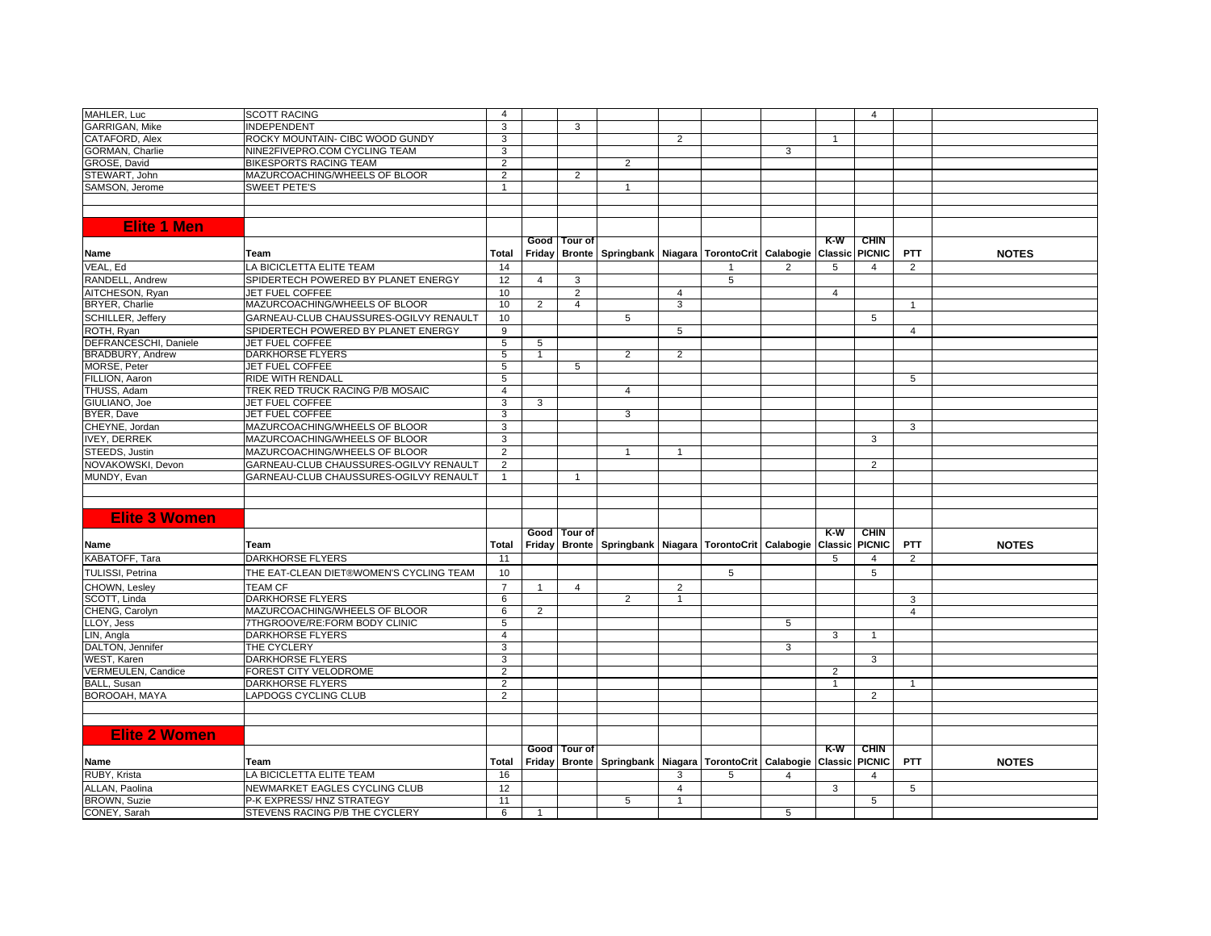| MAHLER, Luc             | <b>SCOTT RACING</b>                     | $\overline{4}$ |                |                |                                                                   |                |   |                |                       | $\overline{4}$               |                |              |
|-------------------------|-----------------------------------------|----------------|----------------|----------------|-------------------------------------------------------------------|----------------|---|----------------|-----------------------|------------------------------|----------------|--------------|
| <b>GARRIGAN, Mike</b>   | <b>INDEPENDENT</b>                      | 3              |                | 3              |                                                                   |                |   |                |                       |                              |                |              |
| CATAFORD, Alex          | ROCKY MOUNTAIN- CIBC WOOD GUNDY         | 3              |                |                |                                                                   | 2              |   |                | -1                    |                              |                |              |
| GORMAN, Charlie         | NINE2FIVEPRO.COM CYCLING TEAM           | 3              |                |                |                                                                   |                |   | 3              |                       |                              |                |              |
| GROSE, David            | <b>BIKESPORTS RACING TEAM</b>           | $\overline{2}$ |                |                | $\overline{2}$                                                    |                |   |                |                       |                              |                |              |
| STEWART, John           | MAZURCOACHING/WHEELS OF BLOOR           | $\overline{2}$ |                | $\overline{2}$ |                                                                   |                |   |                |                       |                              |                |              |
| SAMSON, Jerome          | <b>SWEET PETE'S</b>                     | $\mathbf{1}$   |                |                | $\mathbf{1}$                                                      |                |   |                |                       |                              |                |              |
|                         |                                         |                |                |                |                                                                   |                |   |                |                       |                              |                |              |
|                         |                                         |                |                |                |                                                                   |                |   |                |                       |                              |                |              |
| <b>Elite 1 Men</b>      |                                         |                |                |                |                                                                   |                |   |                |                       |                              |                |              |
|                         |                                         |                |                | Good Tour of   |                                                                   |                |   |                | $K-W$                 | <b>CHIN</b>                  |                |              |
| Name                    | Team                                    | Total          |                |                | Friday Bronte   Springbank   Niagara   TorontoCrit   Calabogie    |                |   |                |                       | <b>Classic PICNIC</b>        | <b>PTT</b>     | <b>NOTES</b> |
| VEAL, Ed                | LA BICICLETTA ELITE TEAM                | 14             |                |                |                                                                   |                |   | $\overline{2}$ | 5                     | $\overline{4}$               | 2              |              |
| RANDELL, Andrew         | SPIDERTECH POWERED BY PLANET ENERGY     | 12             | $\overline{4}$ | 3              |                                                                   |                | 5 |                |                       |                              |                |              |
| AITCHESON, Ryan         | JET FUEL COFFEE                         | 10             |                | $\overline{2}$ |                                                                   | 4              |   |                | $\overline{4}$        |                              |                |              |
| BRYER, Charlie          | MAZURCOACHING/WHEELS OF BLOOR           | 10             | $\overline{2}$ | 4              |                                                                   | 3              |   |                |                       |                              | $\overline{1}$ |              |
| SCHILLER, Jeffery       | GARNEAU-CLUB CHAUSSURES-OGILVY RENAULT  | 10             |                |                | 5                                                                 |                |   |                |                       | 5                            |                |              |
| ROTH, Ryan              | SPIDERTECH POWERED BY PLANET ENERGY     | 9              |                |                |                                                                   | 5              |   |                |                       |                              | $\overline{4}$ |              |
| DEFRANCESCHI, Daniele   | JET FUEL COFFEE                         | 5              | 5              |                |                                                                   |                |   |                |                       |                              |                |              |
| <b>BRADBURY, Andrew</b> | <b>DARKHORSE FLYERS</b>                 | 5              | -1             |                | $\overline{2}$                                                    | $\overline{2}$ |   |                |                       |                              |                |              |
| MORSE, Peter            | <b>JET FUEL COFFEE</b>                  | $\overline{5}$ |                | 5              |                                                                   |                |   |                |                       |                              |                |              |
| FILLION, Aaron          | RIDE WITH RENDALL                       | 5              |                |                |                                                                   |                |   |                |                       |                              | 5              |              |
| THUSS, Adam             | TREK RED TRUCK RACING P/B MOSAIC        | $\overline{4}$ |                |                | $\overline{4}$                                                    |                |   |                |                       |                              |                |              |
| GIULIANO, Joe           | JET FUEL COFFEE                         | 3              | 3              |                |                                                                   |                |   |                |                       |                              |                |              |
| BYER, Dave              | <b>JET FUEL COFFEE</b>                  | 3              |                |                | 3                                                                 |                |   |                |                       |                              |                |              |
| CHEYNE, Jordan          | MAZURCOACHING/WHEELS OF BLOOR           | 3              |                |                |                                                                   |                |   |                |                       |                              | 3              |              |
| <b>IVEY, DERREK</b>     | MAZURCOACHING/WHEELS OF BLOOR           | 3              |                |                |                                                                   |                |   |                |                       | 3                            |                |              |
| STEEDS, Justin          | MAZURCOACHING/WHEELS OF BLOOR           | $\overline{2}$ |                |                | $\overline{1}$                                                    | 1              |   |                |                       |                              |                |              |
| NOVAKOWSKI, Devon       | GARNEAU-CLUB CHAUSSURES-OGILVY RENAULT  | $\overline{2}$ |                |                |                                                                   |                |   |                |                       | 2                            |                |              |
| MUNDY, Evan             | GARNEAU-CLUB CHAUSSURES-OGILVY RENAULT  | $\mathbf{1}$   |                | $\overline{1}$ |                                                                   |                |   |                |                       |                              |                |              |
|                         |                                         |                |                |                |                                                                   |                |   |                |                       |                              |                |              |
|                         |                                         |                |                |                |                                                                   |                |   |                |                       |                              |                |              |
|                         |                                         |                |                |                |                                                                   |                |   |                |                       |                              |                |              |
| <b>Elite 3 Women</b>    |                                         |                |                |                |                                                                   |                |   |                |                       |                              |                |              |
| Name                    | Team                                    | Total          | Friday         | Good Tour of   | Bronte   Springbank   Niagara   TorontoCrit   Calabogie           |                |   |                | K-W<br><b>Classic</b> | <b>CHIN</b><br><b>PICNIC</b> | <b>PTT</b>     | <b>NOTES</b> |
| KABATOFF, Tara          | <b>DARKHORSE FLYERS</b>                 | 11             |                |                |                                                                   |                |   |                | 5                     | $\overline{4}$               | 2              |              |
| <b>TULISSI, Petrina</b> | THE EAT-CLEAN DIET®WOMEN'S CYCLING TEAM | 10             |                |                |                                                                   |                | 5 |                |                       | 5                            |                |              |
|                         |                                         |                |                |                |                                                                   |                |   |                |                       |                              |                |              |
| CHOWN, Lesley           | <b>TEAM CF</b>                          | $\overline{7}$ | $\overline{1}$ | $\overline{4}$ |                                                                   | 2              |   |                |                       |                              |                |              |
| SCOTT, Linda            | <b>DARKHORSE FLYERS</b>                 | 6              |                |                | $\overline{2}$                                                    | $\overline{1}$ |   |                |                       |                              | 3              |              |
| CHENG, Carolyn          | MAZURCOACHING/WHEELS OF BLOOR           | 6              | 2              |                |                                                                   |                |   |                |                       |                              | $\overline{4}$ |              |
| LLOY, Jess              | 7THGROOVE/RE:FORM BODY CLINIC           | $\overline{5}$ |                |                |                                                                   |                |   | 5              |                       |                              |                |              |
| LIN, Angla              | <b>DARKHORSE FLYERS</b>                 | $\overline{4}$ |                |                |                                                                   |                |   |                | 3                     | $\mathbf{1}$                 |                |              |
| DALTON, Jennifer        | THE CYCLERY                             | 3              |                |                |                                                                   |                |   | 3              |                       |                              |                |              |
| WEST, Karen             | <b>DARKHORSE FLYERS</b>                 | 3              |                |                |                                                                   |                |   |                |                       | 3                            |                |              |
| VERMEULEN, Candice      | FOREST CITY VELODROME                   | $\overline{2}$ |                |                |                                                                   |                |   |                | 2                     |                              |                |              |
| <b>BALL, Susan</b>      | DARKHORSE FLYERS                        | $\overline{2}$ |                |                |                                                                   |                |   |                | $\overline{1}$        |                              | $\overline{1}$ |              |
| BOROOAH, MAYA           | LAPDOGS CYCLING CLUB                    | $\overline{2}$ |                |                |                                                                   |                |   |                |                       | 2                            |                |              |
|                         |                                         |                |                |                |                                                                   |                |   |                |                       |                              |                |              |
|                         |                                         |                |                |                |                                                                   |                |   |                |                       |                              |                |              |
| <b>Elite 2 Women</b>    |                                         |                |                | Good   Tour of |                                                                   |                |   |                | $K-W$                 | <b>CHIN</b>                  |                |              |
| Name                    | Team                                    | Total          | Friday         |                | Bronte   Springbank   Niagara   TorontoCrit   Calabogie   Classic |                |   |                |                       | <b>PICNIC</b>                | <b>PTT</b>     | <b>NOTES</b> |
| RUBY, Krista            | A BICICLETTA ELITE TEAM                 | 16             |                |                |                                                                   | 3              |   |                |                       | $\overline{4}$               |                |              |
| ALLAN, Paolina          | NEWMARKET EAGLES CYCLING CLUB           | 12             |                |                |                                                                   | $\overline{4}$ |   |                | 3                     |                              | 5              |              |
| <b>BROWN, Suzie</b>     | P-K EXPRESS/HNZ STRATEGY                | 11             |                |                | 5                                                                 | $\mathbf{1}$   |   |                |                       | 5                            |                |              |
| CONEY, Sarah            | STEVENS RACING P/B THE CYCLERY          | 6              | $\overline{1}$ |                |                                                                   |                |   | 5              |                       |                              |                |              |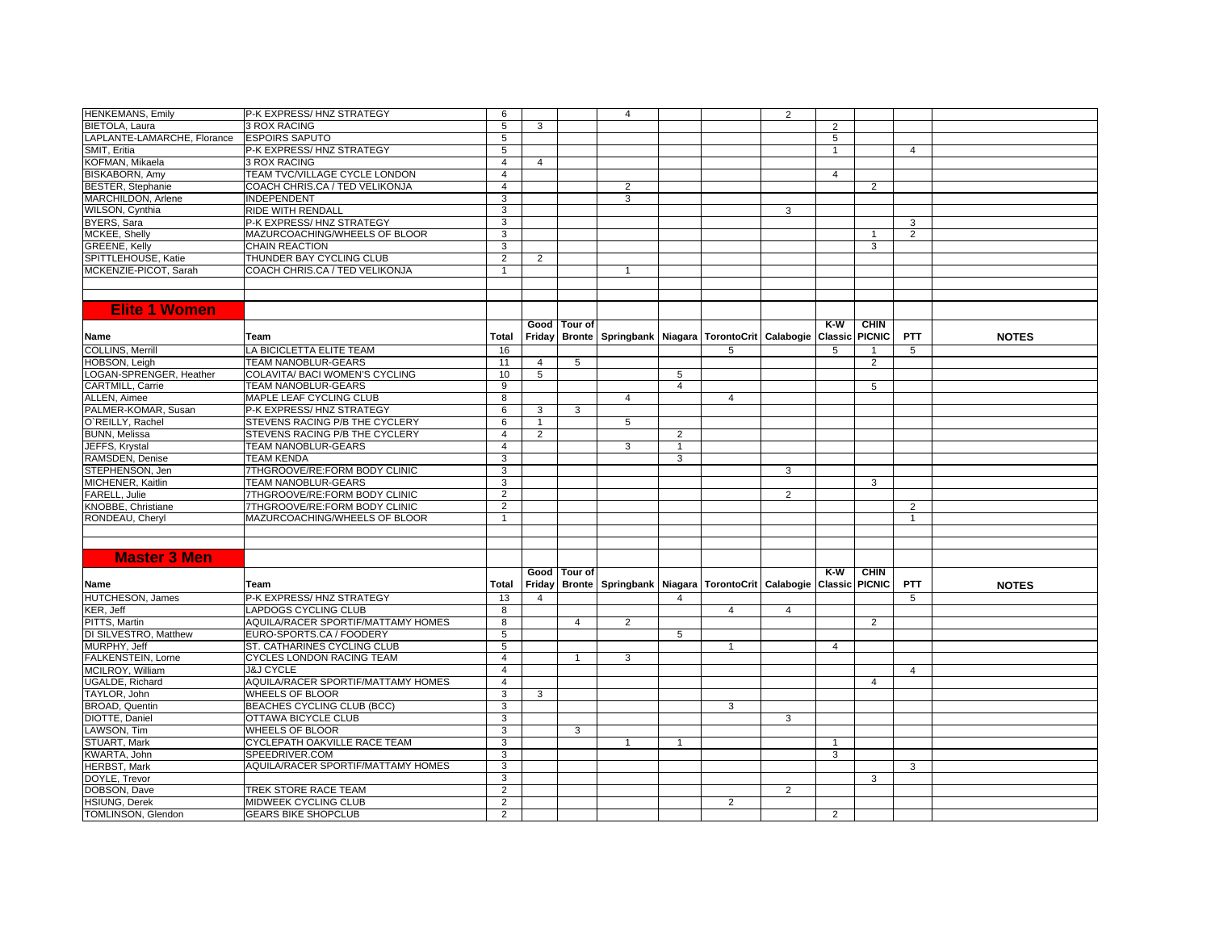| <b>HENKEMANS, Emily</b>     | P-K EXPRESS/HNZ STRATEGY           | 6              |                |                | $\overline{4}$                                                             |                |                | $\overline{2}$ |                |                |                |              |
|-----------------------------|------------------------------------|----------------|----------------|----------------|----------------------------------------------------------------------------|----------------|----------------|----------------|----------------|----------------|----------------|--------------|
| BIETOLA, Laura              | <b>3 ROX RACING</b>                | 5              | 3              |                |                                                                            |                |                |                | 2              |                |                |              |
| LAPLANTE-LAMARCHE, Florance | <b>ESPOIRS SAPUTO</b>              | 5              |                |                |                                                                            |                |                |                | $\overline{5}$ |                |                |              |
| SMIT, Eritia                | P-K EXPRESS/HNZ STRATEGY           | 5              |                |                |                                                                            |                |                |                | $\mathbf{1}$   |                | 4              |              |
| KOFMAN, Mikaela             | <b>3 ROX RACING</b>                | $\overline{4}$ | 4              |                |                                                                            |                |                |                |                |                |                |              |
| <b>BISKABORN, Amy</b>       | TEAM TVC/VILLAGE CYCLE LONDON      | $\overline{4}$ |                |                |                                                                            |                |                |                | $\overline{4}$ |                |                |              |
| <b>BESTER, Stephanie</b>    | COACH CHRIS.CA / TED VELIKONJA     | $\overline{4}$ |                |                | 2                                                                          |                |                |                |                | $\overline{2}$ |                |              |
| MARCHILDON, Arlene          | <b>INDEPENDENT</b>                 | 3              |                |                | 3                                                                          |                |                |                |                |                |                |              |
| WILSON, Cynthia             | <b>RIDE WITH RENDALL</b>           | 3              |                |                |                                                                            |                |                | 3              |                |                |                |              |
| BYERS, Sara                 | P-K EXPRESS/HNZ STRATEGY           | 3              |                |                |                                                                            |                |                |                |                |                | 3              |              |
| MCKEE, Shelly               | MAZURCOACHING/WHEELS OF BLOOR      | 3              |                |                |                                                                            |                |                |                |                | $\mathbf{1}$   | $\overline{2}$ |              |
| <b>GREENE, Kelly</b>        | <b>CHAIN REACTION</b>              | $\overline{3}$ |                |                |                                                                            |                |                |                |                | 3              |                |              |
| SPITTLEHOUSE, Katie         | THUNDER BAY CYCLING CLUB           | $\overline{2}$ | $\overline{2}$ |                |                                                                            |                |                |                |                |                |                |              |
| MCKENZIE-PICOT, Sarah       | COACH CHRIS.CA / TED VELIKONJA     | -1             |                |                | $\mathbf 1$                                                                |                |                |                |                |                |                |              |
|                             |                                    |                |                |                |                                                                            |                |                |                |                |                |                |              |
|                             |                                    |                |                |                |                                                                            |                |                |                |                |                |                |              |
| <b>Elite 1 Women</b>        |                                    |                |                |                |                                                                            |                |                |                |                |                |                |              |
|                             |                                    |                |                |                |                                                                            |                |                |                |                |                |                |              |
|                             |                                    |                |                | Good Tour of   |                                                                            |                |                |                | $K-W$          | <b>CHIN</b>    |                |              |
| Name                        | Team                               | Total          | Friday         |                | Bronte   Springbank   Niagara   TorontoCrit   Calabogie   Classic          |                |                |                |                | <b>PICNIC</b>  | <b>PTT</b>     | <b>NOTES</b> |
| COLLINS, Merrill            | LA BICICLETTA ELITE TEAM           | 16             |                |                |                                                                            |                | 5              |                | 5              | $\mathbf{1}$   | 5              |              |
| HOBSON, Leigh               | TEAM NANOBLUR-GEARS                | 11             | $\overline{4}$ | 5              |                                                                            |                |                |                |                | 2              |                |              |
| LOGAN-SPRENGER, Heather     | COLAVITA/ BACI WOMEN'S CYCLING     | 10             | 5              |                |                                                                            | 5              |                |                |                |                |                |              |
| CARTMILL, Carrie            | <b>TEAM NANOBLUR-GEARS</b>         | $\overline{9}$ |                |                |                                                                            | $\overline{4}$ |                |                |                | 5              |                |              |
| ALLEN, Aimee                | MAPLE LEAF CYCLING CLUB            | 8              |                |                | $\overline{4}$                                                             |                | 4              |                |                |                |                |              |
| PALMER-KOMAR, Susan         | P-K EXPRESS/HNZ STRATEGY           | 6              | 3              | 3              |                                                                            |                |                |                |                |                |                |              |
| O'REILLY, Rachel            | STEVENS RACING P/B THE CYCLERY     | 6              |                |                | 5                                                                          |                |                |                |                |                |                |              |
| <b>BUNN, Melissa</b>        | STEVENS RACING P/B THE CYCLERY     | $\overline{4}$ | 2              |                |                                                                            | $\overline{2}$ |                |                |                |                |                |              |
| JEFFS, Krystal              | <b>TEAM NANOBLUR-GEARS</b>         | $\overline{4}$ |                |                | 3                                                                          | $\mathbf{1}$   |                |                |                |                |                |              |
| RAMSDEN, Denise             | <b>TEAM KENDA</b>                  | $\overline{3}$ |                |                |                                                                            | 3              |                |                |                |                |                |              |
| STEPHENSON, Jen             | 7THGROOVE/RE:FORM BODY CLINIC      | 3              |                |                |                                                                            |                |                | 3              |                |                |                |              |
| MICHENER, Kaitlin           | <b>TEAM NANOBLUR-GEARS</b>         | 3              |                |                |                                                                            |                |                |                |                | 3              |                |              |
| FARELL, Julie               | 7THGROOVE/RE:FORM BODY CLINIC      | $\overline{2}$ |                |                |                                                                            |                |                | $\overline{2}$ |                |                |                |              |
| KNOBBE, Christiane          | 7THGROOVE/RE:FORM BODY CLINIC      | $\overline{2}$ |                |                |                                                                            |                |                |                |                |                | $\overline{2}$ |              |
| RONDEAU, Cheryl             | MAZURCOACHING/WHEELS OF BLOOR      | $\mathbf{1}$   |                |                |                                                                            |                |                |                |                |                | $\overline{1}$ |              |
|                             |                                    |                |                |                |                                                                            |                |                |                |                |                |                |              |
|                             |                                    |                |                |                |                                                                            |                |                |                |                |                |                |              |
| <b>Master 3 Men</b>         |                                    |                |                |                |                                                                            |                |                |                |                |                |                |              |
|                             |                                    |                |                | Good Tour of   |                                                                            |                |                |                | $K-W$          | <b>CHIN</b>    |                |              |
| Name                        | Team                               | Total          | Friday         |                | Bronte   Springbank   Niagara   TorontoCrit   Calabogie   Classic   PICNIC |                |                |                |                |                | <b>PTT</b>     | <b>NOTES</b> |
| <b>HUTCHESON, James</b>     | P-K EXPRESS/HNZ STRATEGY           | 13             | $\overline{4}$ |                |                                                                            | 4              |                |                |                |                | 5              |              |
| KER, Jeff                   | LAPDOGS CYCLING CLUB               | 8              |                |                |                                                                            |                | 4              | $\overline{4}$ |                |                |                |              |
| PITTS, Martin               | AQUILA/RACER SPORTIF/MATTAMY HOMES | 8              |                | 4              | 2                                                                          |                |                |                |                | 2              |                |              |
| DI SILVESTRO, Matthew       | EURO-SPORTS.CA / FOODERY           | $\overline{5}$ |                |                |                                                                            | 5              |                |                |                |                |                |              |
| MURPHY, Jeff                | ST. CATHARINES CYCLING CLUB        | 5              |                |                |                                                                            |                |                |                | $\overline{4}$ |                |                |              |
| FALKENSTEIN, Lorne          | CYCLES LONDON RACING TEAM          | $\overline{4}$ |                | $\overline{1}$ | 3                                                                          |                |                |                |                |                |                |              |
| MCILROY, William            | <b>J&amp;J CYCLE</b>               | $\overline{4}$ |                |                |                                                                            |                |                |                |                |                | $\overline{4}$ |              |
| <b>UGALDE, Richard</b>      | AQUILA/RACER SPORTIF/MATTAMY HOMES | $\overline{4}$ |                |                |                                                                            |                |                |                |                | $\overline{4}$ |                |              |
| TAYLOR, John                | <b>WHEELS OF BLOOR</b>             | 3              | 3              |                |                                                                            |                |                |                |                |                |                |              |
| <b>BROAD, Quentin</b>       | <b>BEACHES CYCLING CLUB (BCC)</b>  | 3              |                |                |                                                                            |                | 3              |                |                |                |                |              |
| DIOTTE, Daniel              | <b>OTTAWA BICYCLE CLUB</b>         | 3              |                |                |                                                                            |                |                | 3              |                |                |                |              |
| LAWSON, Tim                 | <b>WHEELS OF BLOOR</b>             | 3              |                | 3              |                                                                            |                |                |                |                |                |                |              |
| STUART, Mark                | CYCLEPATH OAKVILLE RACE TEAM       | 3              |                |                | $\mathbf{1}$                                                               | $\mathbf{1}$   |                |                | $\overline{1}$ |                |                |              |
| <b>KWARTA, John</b>         | SPEEDRIVER.COM                     | 3              |                |                |                                                                            |                |                |                | 3              |                |                |              |
| <b>HERBST, Mark</b>         | AQUILA/RACER SPORTIF/MATTAMY HOMES | 3              |                |                |                                                                            |                |                |                |                |                | 3              |              |
| DOYLE, Trevor               |                                    | 3              |                |                |                                                                            |                |                |                |                | 3              |                |              |
| DOBSON, Dave                | TREK STORE RACE TEAM               | $\overline{2}$ |                |                |                                                                            |                |                | $\overline{2}$ |                |                |                |              |
| <b>HSIUNG, Derek</b>        | <b>MIDWEEK CYCLING CLUB</b>        | $\overline{2}$ |                |                |                                                                            |                | $\overline{2}$ |                |                |                |                |              |
| TOMLINSON, Glendon          | <b>GEARS BIKE SHOPCLUB</b>         | 2              |                |                |                                                                            |                |                |                | 2              |                |                |              |
|                             |                                    |                |                |                |                                                                            |                |                |                |                |                |                |              |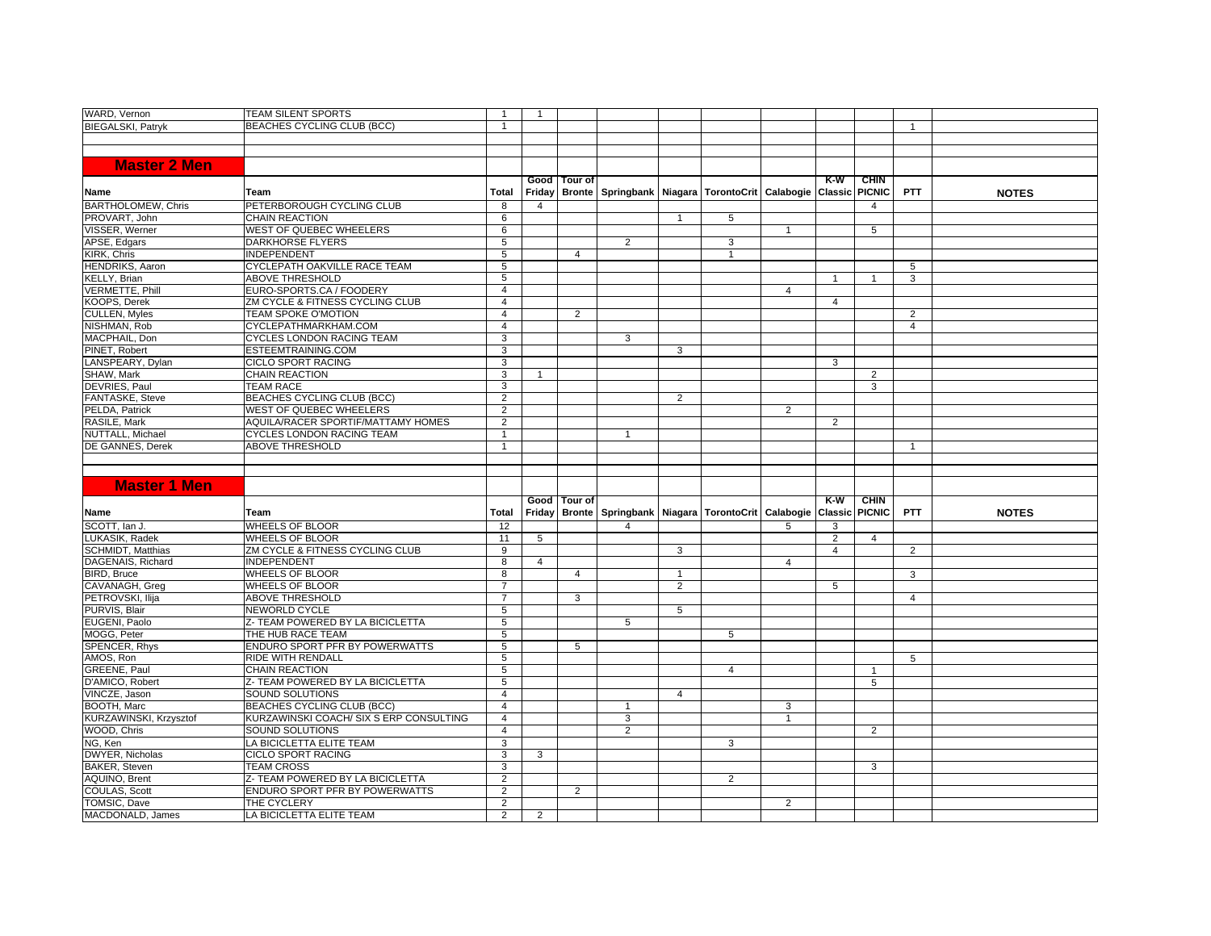| WARD, Vernon                            | <b>TEAM SILENT SPORTS</b>               | $\overline{1}$                   | $\overline{1}$ |              |                                                                            |                |   |                |                |                              |                |              |
|-----------------------------------------|-----------------------------------------|----------------------------------|----------------|--------------|----------------------------------------------------------------------------|----------------|---|----------------|----------------|------------------------------|----------------|--------------|
| <b>BIEGALSKI, Patrvk</b>                | BEACHES CYCLING CLUB (BCC)              | $\mathbf{1}$                     |                |              |                                                                            |                |   |                |                |                              | $\overline{1}$ |              |
|                                         |                                         |                                  |                |              |                                                                            |                |   |                |                |                              |                |              |
|                                         |                                         |                                  |                |              |                                                                            |                |   |                |                |                              |                |              |
| <b>Master 2 Men</b>                     |                                         |                                  |                |              |                                                                            |                |   |                |                |                              |                |              |
|                                         |                                         |                                  |                |              |                                                                            |                |   |                |                |                              |                |              |
| Name                                    | Team                                    | Total                            |                | Good Tour of | Friday   Bronte   Springbank   Niagara   TorontoCrit   Calabogie   Classic |                |   |                | $K-W$          | <b>CHIN</b><br><b>PICNIC</b> | <b>PTT</b>     | <b>NOTES</b> |
| <b>BARTHOLOMEW, Chris</b>               | PETERBOROUGH CYCLING CLUB               | 8                                | $\overline{4}$ |              |                                                                            |                |   |                |                | 4                            |                |              |
| PROVART, John                           | <b>CHAIN REACTION</b>                   | 6                                |                |              |                                                                            | $\mathbf{1}$   | 5 |                |                |                              |                |              |
| VISSER, Werner                          | <b>WEST OF QUEBEC WHEELERS</b>          | 6                                |                |              |                                                                            |                |   | $\overline{1}$ |                | 5                            |                |              |
| APSE, Edgars                            | <b>DARKHORSE FLYERS</b>                 | 5                                |                |              | 2                                                                          |                | 3 |                |                |                              |                |              |
| KIRK, Chris                             | <b>INDEPENDENT</b>                      | 5                                |                | 4            |                                                                            |                |   |                |                |                              |                |              |
| <b>HENDRIKS, Aaron</b>                  | CYCLEPATH OAKVILLE RACE TEAM            | 5                                |                |              |                                                                            |                |   |                |                |                              | 5              |              |
| KELLY, Brian                            | <b>ABOVE THRESHOLD</b>                  | 5                                |                |              |                                                                            |                |   |                |                |                              | 3              |              |
| <b>VERMETTE, Phill</b>                  | EURO-SPORTS.CA / FOODERY                | $\overline{4}$                   |                |              |                                                                            |                |   | $\overline{4}$ |                |                              |                |              |
| KOOPS, Derek                            | ZM CYCLE & FITNESS CYCLING CLUB         | $\overline{4}$                   |                |              |                                                                            |                |   |                | 4              |                              |                |              |
| <b>CULLEN, Myles</b>                    | <b>TEAM SPOKE O'MOTION</b>              | $\overline{4}$                   |                | 2            |                                                                            |                |   |                |                |                              | $\overline{2}$ |              |
| NISHMAN, Rob                            | CYCLEPATHMARKHAM.COM                    | $\overline{4}$                   |                |              |                                                                            |                |   |                |                |                              | $\overline{4}$ |              |
| MACPHAIL, Don                           | <b>CYCLES LONDON RACING TEAM</b>        | 3                                |                |              | 3                                                                          |                |   |                |                |                              |                |              |
| PINET, Robert                           | ESTEEMTRAINING.COM                      | 3                                |                |              |                                                                            | 3              |   |                |                |                              |                |              |
| LANSPEARY, Dylan                        | <b>CICLO SPORT RACING</b>               | 3                                |                |              |                                                                            |                |   |                | 3              |                              |                |              |
| SHAW, Mark                              | <b>CHAIN REACTION</b>                   | 3                                |                |              |                                                                            |                |   |                |                | 2                            |                |              |
| DEVRIES, Paul                           | <b>TEAM RACE</b>                        | 3                                |                |              |                                                                            |                |   |                |                | 3                            |                |              |
| FANTASKE, Steve                         | BEACHES CYCLING CLUB (BCC)              | $\overline{2}$                   |                |              |                                                                            | $\overline{2}$ |   |                |                |                              |                |              |
| PELDA, Patrick                          | <b>WEST OF QUEBEC WHEELERS</b>          | $\overline{2}$                   |                |              |                                                                            |                |   | $\overline{2}$ |                |                              |                |              |
| RASILE, Mark                            | AQUILA/RACER SPORTIF/MATTAMY HOMES      | $\overline{2}$                   |                |              |                                                                            |                |   |                | 2              |                              |                |              |
| NUTTALL, Michael                        | CYCLES LONDON RACING TEAM               | $\overline{1}$                   |                |              | 1                                                                          |                |   |                |                |                              |                |              |
| DE GANNES, Derek                        | <b>ABOVE THRESHOLD</b>                  | $\mathbf{1}$                     |                |              |                                                                            |                |   |                |                |                              | $\mathbf{1}$   |              |
|                                         |                                         |                                  |                |              |                                                                            |                |   |                |                |                              |                |              |
|                                         |                                         |                                  |                |              |                                                                            |                |   |                |                |                              |                |              |
|                                         |                                         |                                  |                |              |                                                                            |                |   |                |                |                              |                |              |
|                                         |                                         |                                  |                |              |                                                                            |                |   |                |                |                              |                |              |
| <b>Master 1 Men</b>                     |                                         |                                  |                |              |                                                                            |                |   |                |                |                              |                |              |
|                                         |                                         |                                  |                | Good Tour of |                                                                            |                |   |                | $K-W$          | <b>CHIN</b>                  |                |              |
| Name                                    | Team                                    | Total                            | Friday         |              | Bronte   Springbank   Niagara   TorontoCrit   Calabogie   Classic          |                |   |                |                | <b>PICNIC</b>                | <b>PTT</b>     | <b>NOTES</b> |
| SCOTT, Ian J.                           | <b>WHEELS OF BLOOR</b>                  | 12                               |                |              | $\overline{4}$                                                             |                |   | 5              | 3              |                              |                |              |
| LUKASIK, Radek                          | <b>WHEELS OF BLOOR</b>                  | 11                               | 5              |              |                                                                            |                |   |                | $\overline{2}$ | $\overline{4}$               |                |              |
| <b>SCHMIDT, Matthias</b>                | ZM CYCLE & FITNESS CYCLING CLUB         | 9                                |                |              |                                                                            | 3              |   |                | $\overline{4}$ |                              | $\overline{2}$ |              |
| DAGENAIS, Richard                       | <b>INDEPENDENT</b>                      | 8                                | 4              |              |                                                                            |                |   | $\overline{4}$ |                |                              |                |              |
| BIRD, Bruce                             | <b>WHEELS OF BLOOR</b>                  | 8                                |                | 4            |                                                                            | 1              |   |                |                |                              | 3              |              |
| CAVANAGH, Greg                          | <b>WHEELS OF BLOOR</b>                  | $\overline{7}$                   |                |              |                                                                            | $\overline{2}$ |   |                | 5              |                              |                |              |
| PETROVSKI, Ilija                        | <b>ABOVE THRESHOLD</b>                  | $\overline{7}$                   |                | 3            |                                                                            |                |   |                |                |                              | $\overline{4}$ |              |
| PURVIS, Blair                           | NEWORLD CYCLE                           | $\overline{5}$                   |                |              |                                                                            | 5              |   |                |                |                              |                |              |
| EUGENI, Paolo                           | Z- TEAM POWERED BY LA BICICLETTA        | 5                                |                |              | 5                                                                          |                |   |                |                |                              |                |              |
| MOGG, Peter                             | THE HUB RACE TEAM                       | $\overline{5}$                   |                |              |                                                                            |                | 5 |                |                |                              |                |              |
| SPENCER, Rhys                           | ENDURO SPORT PFR BY POWERWATTS          | 5                                |                | 5            |                                                                            |                |   |                |                |                              |                |              |
| AMOS, Ron                               | <b>RIDE WITH RENDALL</b>                | 5                                |                |              |                                                                            |                |   |                |                |                              | 5              |              |
| GREENE, Paul                            | <b>CHAIN REACTION</b>                   | 5                                |                |              |                                                                            |                | 4 |                |                | -1                           |                |              |
| D'AMICO, Robert                         | Z- TEAM POWERED BY LA BICICLETTA        | 5                                |                |              |                                                                            |                |   |                |                | $\overline{5}$               |                |              |
| VINCZE, Jason                           | <b>SOUND SOLUTIONS</b>                  | $\overline{4}$                   |                |              |                                                                            | $\overline{4}$ |   |                |                |                              |                |              |
| BOOTH, Marc                             | BEACHES CYCLING CLUB (BCC)              | $\overline{4}$                   |                |              | $\mathbf{1}$                                                               |                |   | 3              |                |                              |                |              |
| KURZAWINSKI, Krzysztof                  | KURZAWINSKI COACH/ SIX S ERP CONSULTING | $\overline{4}$<br>$\overline{4}$ |                |              | 3                                                                          |                |   | $\mathbf{1}$   |                |                              |                |              |
| WOOD, Chris                             | SOUND SOLUTIONS                         |                                  |                |              | $\overline{2}$                                                             |                |   |                |                | $\overline{2}$               |                |              |
| NG, Ken                                 | LA BICICLETTA ELITE TEAM                | $\overline{3}$                   |                |              |                                                                            |                | 3 |                |                |                              |                |              |
| DWYER, Nicholas                         | <b>CICLO SPORT RACING</b>               | 3                                | 3              |              |                                                                            |                |   |                |                |                              |                |              |
| <b>BAKER, Steven</b>                    | <b>TEAM CROSS</b>                       | 3                                |                |              |                                                                            |                |   |                |                | 3                            |                |              |
| <b>AQUINO, Brent</b>                    | Z- TEAM POWERED BY LA BICICLETTA        | $\overline{2}$                   |                |              |                                                                            |                | 2 |                |                |                              |                |              |
| COULAS, Scott                           | <b>ENDURO SPORT PFR BY POWERWATTS</b>   | $\overline{2}$                   |                | 2            |                                                                            |                |   |                |                |                              |                |              |
| <b>TOMSIC.</b> Dave<br>MACDONALD, James | THE CYCLERY<br>LA BICICLETTA ELITE TEAM | $\overline{2}$<br>2              | 2              |              |                                                                            |                |   | 2              |                |                              |                |              |